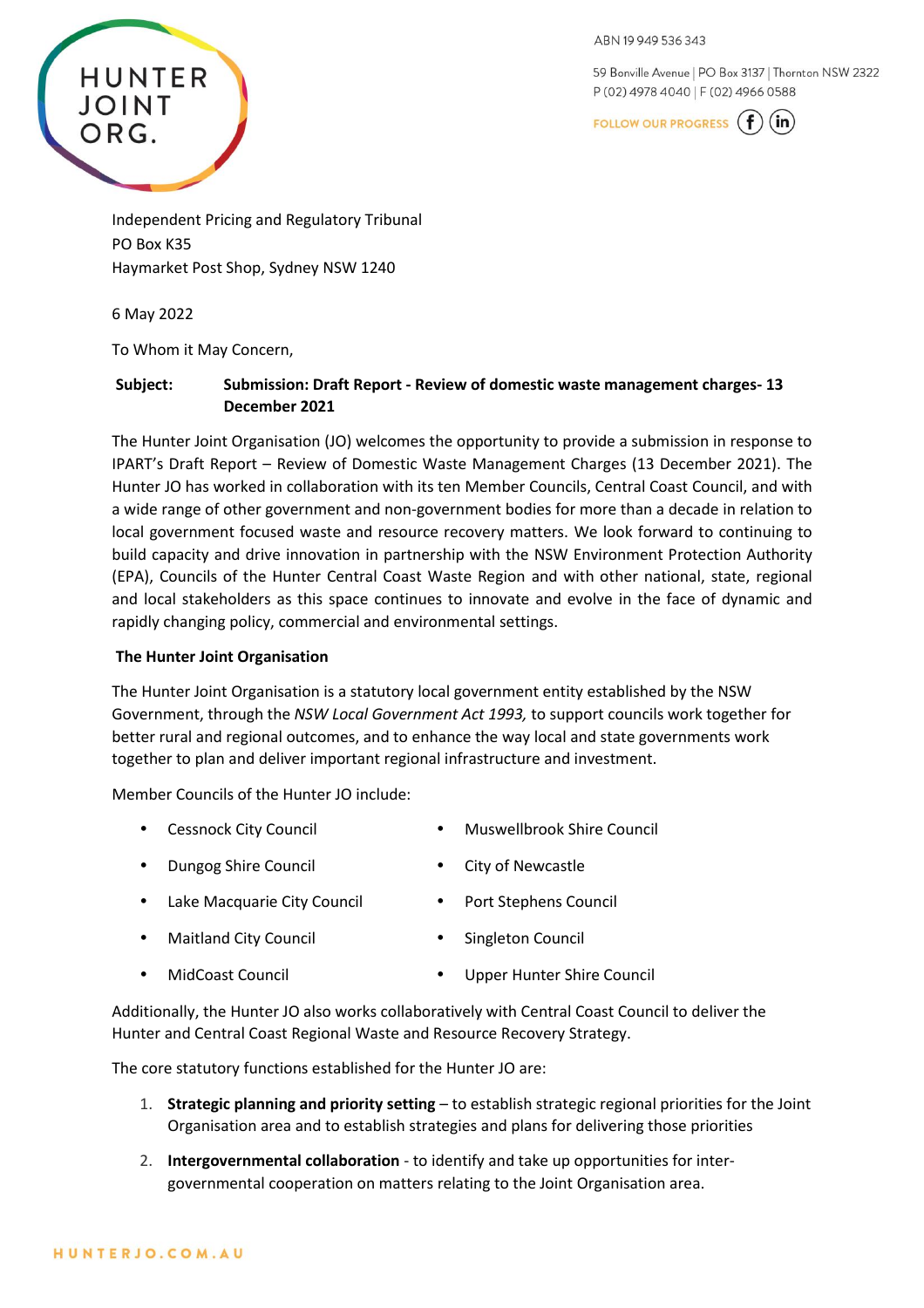59 Bonville Avenue | PO Box 3137 | Thornton NSW 2322 P (02) 4978 4040 | F (02) 4966 0588



Independent Pricing and Regulatory Tribunal PO Box K35 Haymarket Post Shop, Sydney NSW 1240

6 May 2022

**HUNTER** 

JOINT

ORG.

To Whom it May Concern,

# **Subject: Submission: Draft Report - Review of domestic waste management charges- 13 December 2021**

The Hunter Joint Organisation (JO) welcomes the opportunity to provide a submission in response to IPART's Draft Report – Review of Domestic Waste Management Charges (13 December 2021). The Hunter JO has worked in collaboration with its ten Member Councils, Central Coast Council, and with a wide range of other government and non-government bodies for more than a decade in relation to local government focused waste and resource recovery matters. We look forward to continuing to build capacity and drive innovation in partnership with the NSW Environment Protection Authority (EPA), Councils of the Hunter Central Coast Waste Region and with other national, state, regional and local stakeholders as this space continues to innovate and evolve in the face of dynamic and rapidly changing policy, commercial and environmental settings.

#### **The Hunter Joint Organisation**

The Hunter Joint Organisation is a statutory local government entity established by the NSW Government, through the *NSW Local Government Act 1993,* to support councils work together for better rural and regional outcomes, and to enhance the way local and state governments work together to plan and deliver important regional infrastructure and investment.

Member Councils of the Hunter JO include:

- Cessnock City Council Muswellbrook Shire Council
- Dungog Shire Council City of Newcastle
	- Port Stephens Council
- Lake Macquarie City Council

Maitland City Council

- Singleton Council
- MidCoast Council Upper Hunter Shire Council

Additionally, the Hunter JO also works collaboratively with Central Coast Council to deliver the Hunter and Central Coast Regional Waste and Resource Recovery Strategy.

The core statutory functions established for the Hunter JO are:

- 1. **Strategic planning and priority setting** to establish strategic regional priorities for the Joint Organisation area and to establish strategies and plans for delivering those priorities
- 2. **Intergovernmental collaboration** to identify and take up opportunities for intergovernmental cooperation on matters relating to the Joint Organisation area.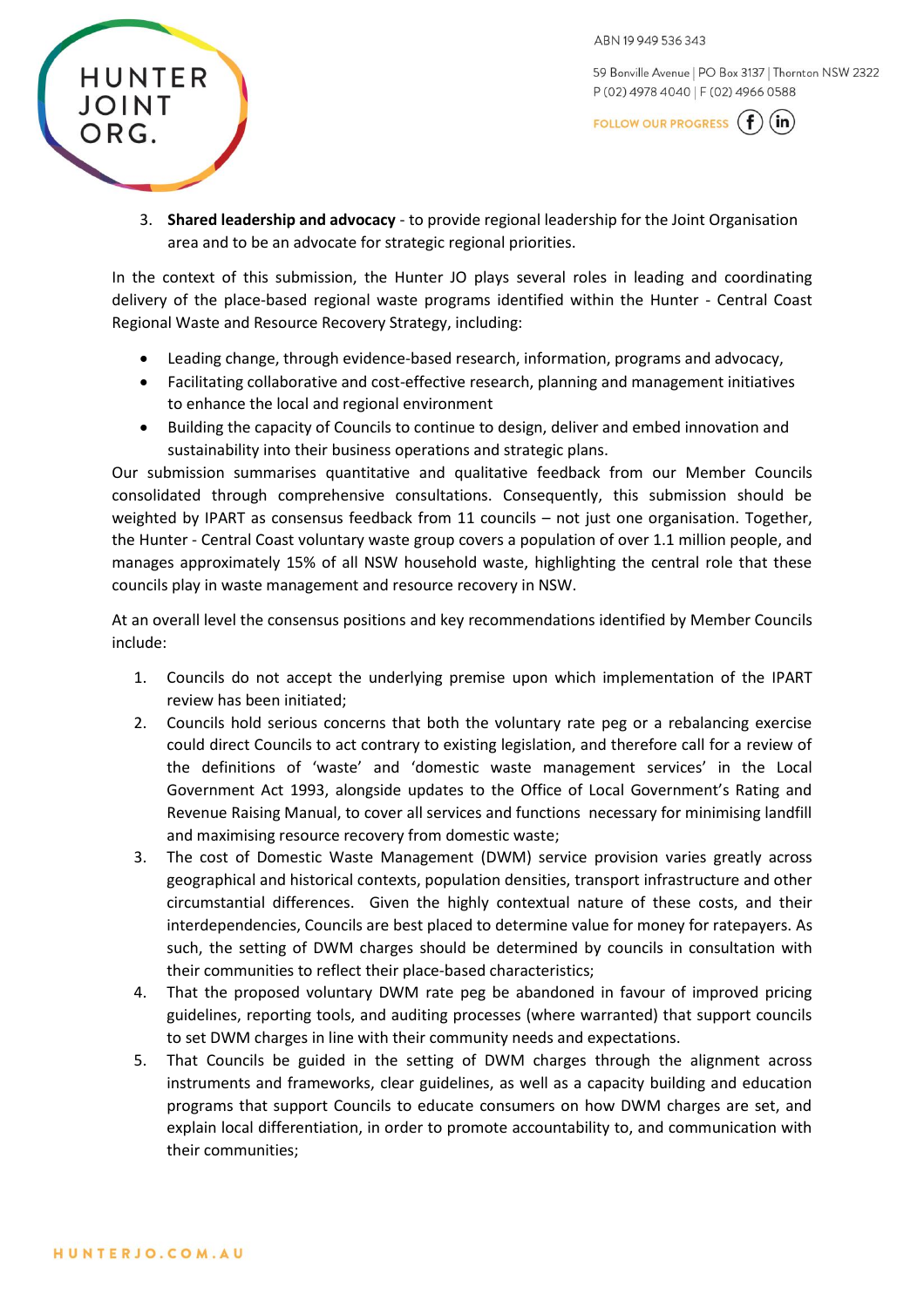59 Bonville Avenue | PO Box 3137 | Thornton NSW 2322 P (02) 4978 4040 | F (02) 4966 0588

FOLLOW OUR PROGRESS  $(f)(in)$ 

3. **Shared leadership and advocacy** - to provide regional leadership for the Joint Organisation area and to be an advocate for strategic regional priorities.

In the context of this submission, the Hunter JO plays several roles in leading and coordinating delivery of the place-based regional waste programs identified within the Hunter - Central Coast Regional Waste and Resource Recovery Strategy, including:

- Leading change, through evidence-based research, information, programs and advocacy,
- Facilitating collaborative and cost-effective research, planning and management initiatives to enhance the local and regional environment
- Building the capacity of Councils to continue to design, deliver and embed innovation and sustainability into their business operations and strategic plans.

Our submission summarises quantitative and qualitative feedback from our Member Councils consolidated through comprehensive consultations. Consequently, this submission should be weighted by IPART as consensus feedback from 11 councils – not just one organisation. Together, the Hunter - Central Coast voluntary waste group covers a population of over 1.1 million people, and manages approximately 15% of all NSW household waste, highlighting the central role that these councils play in waste management and resource recovery in NSW.

At an overall level the consensus positions and key recommendations identified by Member Councils include:

- 1. Councils do not accept the underlying premise upon which implementation of the IPART review has been initiated;
- 2. Councils hold serious concerns that both the voluntary rate peg or a rebalancing exercise could direct Councils to act contrary to existing legislation, and therefore call for a review of the definitions of 'waste' and 'domestic waste management services' in the Local Government Act 1993, alongside updates to the Office of Local Government's Rating and Revenue Raising Manual, to cover all services and functions necessary for minimising landfill and maximising resource recovery from domestic waste;
- 3. The cost of Domestic Waste Management (DWM) service provision varies greatly across geographical and historical contexts, population densities, transport infrastructure and other circumstantial differences. Given the highly contextual nature of these costs, and their interdependencies, Councils are best placed to determine value for money for ratepayers. As such, the setting of DWM charges should be determined by councils in consultation with their communities to reflect their place-based characteristics;
- 4. That the proposed voluntary DWM rate peg be abandoned in favour of improved pricing guidelines, reporting tools, and auditing processes (where warranted) that support councils to set DWM charges in line with their community needs and expectations.
- 5. That Councils be guided in the setting of DWM charges through the alignment across instruments and frameworks, clear guidelines, as well as a capacity building and education programs that support Councils to educate consumers on how DWM charges are set, and explain local differentiation, in order to promote accountability to, and communication with their communities;

**HUNTER** 

**JOINT**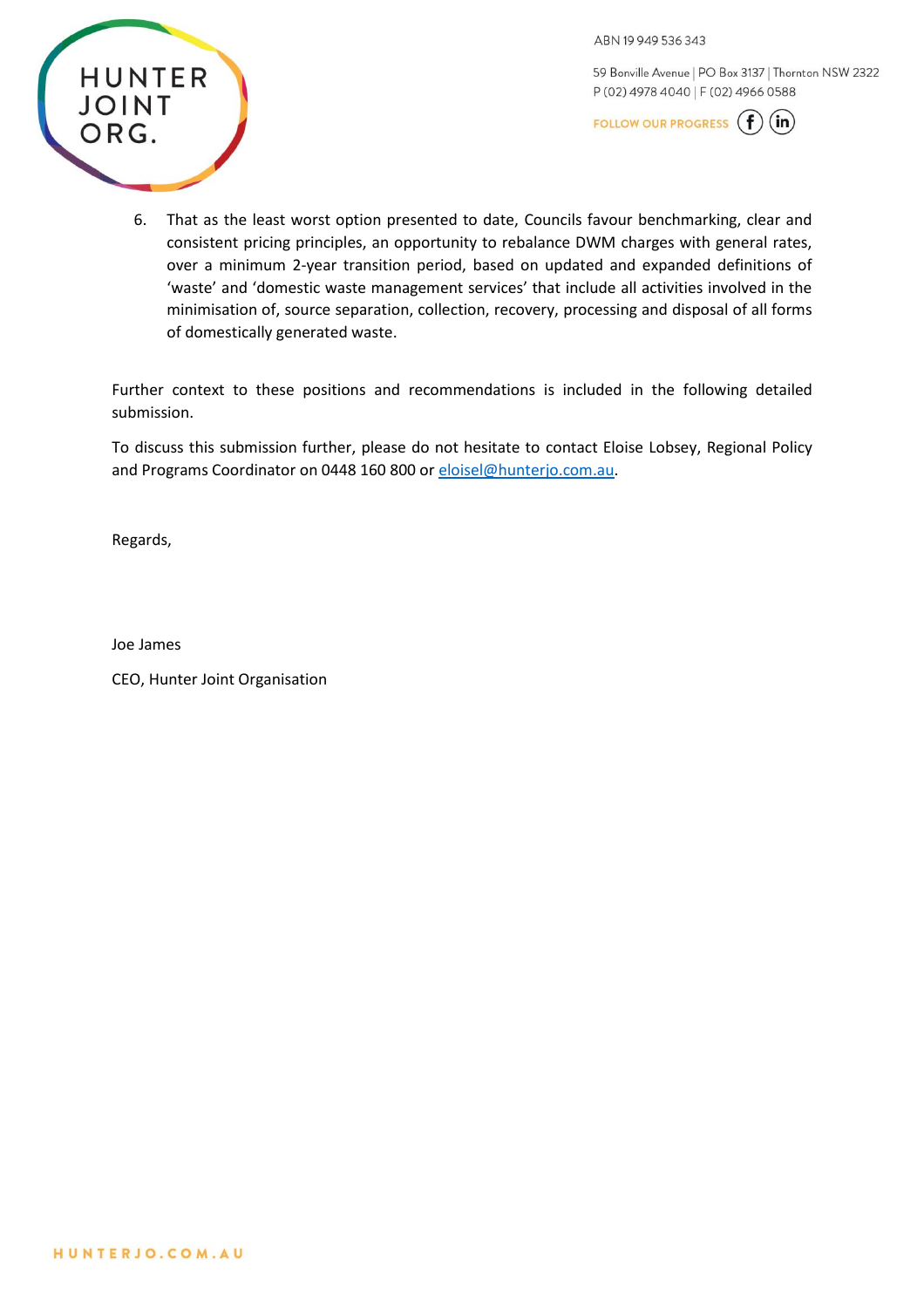ABN 19949536343



59 Bonville Avenue | PO Box 3137 | Thornton NSW 2322 P (02) 4978 4040 | F (02) 4966 0588

FOLLOW OUR PROGRESS  $(f)(in)$ 

6. That as the least worst option presented to date, Councils favour benchmarking, clear and consistent pricing principles, an opportunity to rebalance DWM charges with general rates, over a minimum 2-year transition period, based on updated and expanded definitions of 'waste' and 'domestic waste management services' that include all activities involved in the minimisation of, source separation, collection, recovery, processing and disposal of all forms of domestically generated waste.

Further context to these positions and recommendations is included in the following detailed submission.

To discuss this submission further, please do not hesitate to contact Eloise Lobsey, Regional Policy and Programs Coordinator on 0448 160 800 o[r eloisel@hunterjo.com.au.](mailto:eloisel@hunterjo.com.au)

Regards,

Joe James

CEO, Hunter Joint Organisation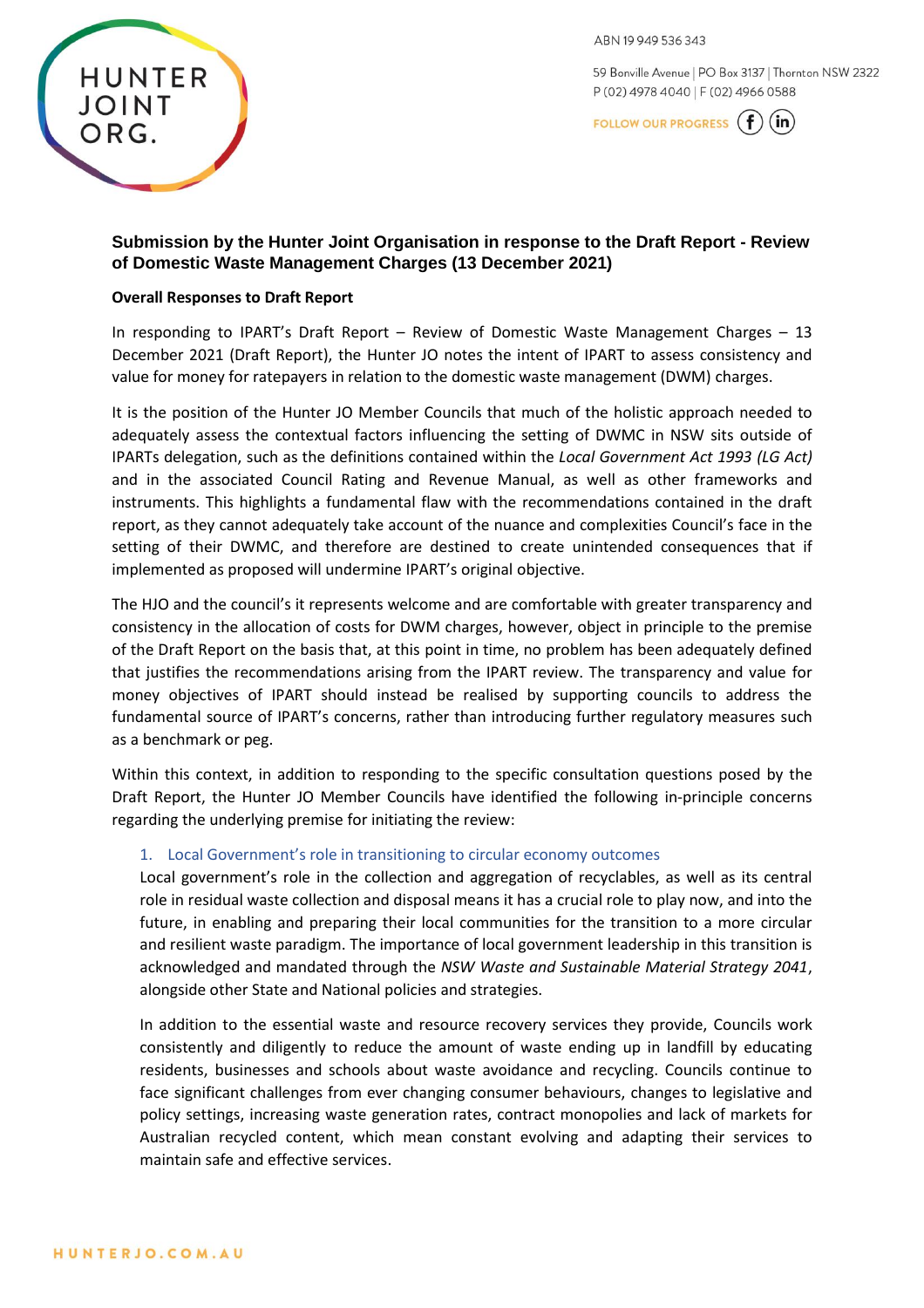59 Bonville Avenue | PO Box 3137 | Thornton NSW 2322 P (02) 4978 4040 | F (02) 4966 0588





# **Submission by the Hunter Joint Organisation in response to the Draft Report - Review of Domestic Waste Management Charges (13 December 2021)**

#### **Overall Responses to Draft Report**

In responding to IPART's Draft Report – Review of Domestic Waste Management Charges – 13 December 2021 (Draft Report), the Hunter JO notes the intent of IPART to assess consistency and value for money for ratepayers in relation to the domestic waste management (DWM) charges.

It is the position of the Hunter JO Member Councils that much of the holistic approach needed to adequately assess the contextual factors influencing the setting of DWMC in NSW sits outside of IPARTs delegation, such as the definitions contained within the *Local Government Act 1993 (LG Act)* and in the associated Council Rating and Revenue Manual, as well as other frameworks and instruments. This highlights a fundamental flaw with the recommendations contained in the draft report, as they cannot adequately take account of the nuance and complexities Council's face in the setting of their DWMC, and therefore are destined to create unintended consequences that if implemented as proposed will undermine IPART's original objective.

The HJO and the council's it represents welcome and are comfortable with greater transparency and consistency in the allocation of costs for DWM charges, however, object in principle to the premise of the Draft Report on the basis that, at this point in time, no problem has been adequately defined that justifies the recommendations arising from the IPART review. The transparency and value for money objectives of IPART should instead be realised by supporting councils to address the fundamental source of IPART's concerns, rather than introducing further regulatory measures such as a benchmark or peg.

Within this context, in addition to responding to the specific consultation questions posed by the Draft Report, the Hunter JO Member Councils have identified the following in-principle concerns regarding the underlying premise for initiating the review:

### 1. Local Government's role in transitioning to circular economy outcomes

Local government's role in the collection and aggregation of recyclables, as well as its central role in residual waste collection and disposal means it has a crucial role to play now, and into the future, in enabling and preparing their local communities for the transition to a more circular and resilient waste paradigm. The importance of local government leadership in this transition is acknowledged and mandated through the *NSW Waste and Sustainable Material Strategy 2041*, alongside other State and National policies and strategies.

In addition to the essential waste and resource recovery services they provide, Councils work consistently and diligently to reduce the amount of waste ending up in landfill by educating residents, businesses and schools about waste avoidance and recycling. Councils continue to face significant challenges from ever changing consumer behaviours, changes to legislative and policy settings, increasing waste generation rates, contract monopolies and lack of markets for Australian recycled content, which mean constant evolving and adapting their services to maintain safe and effective services.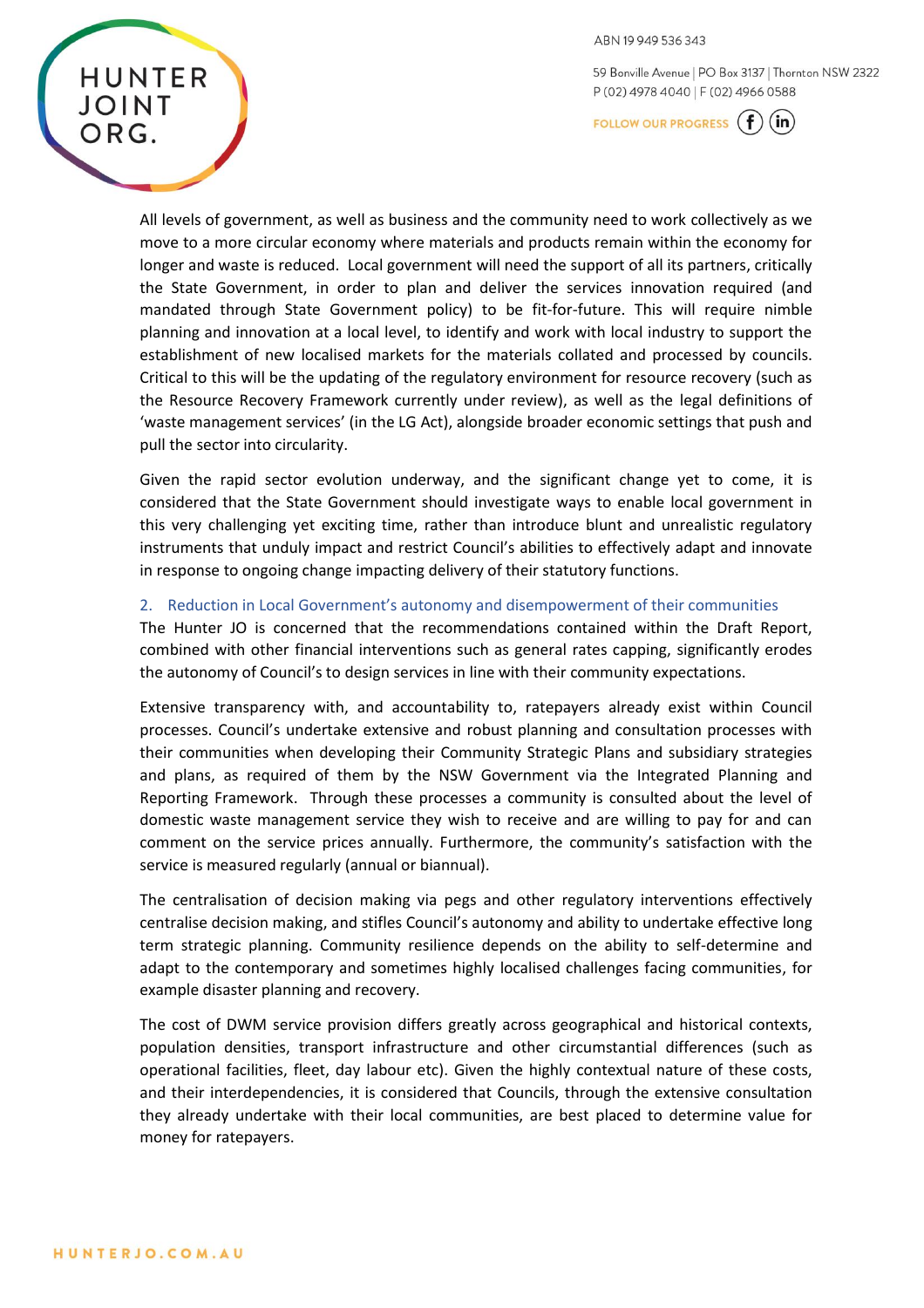59 Bonville Avenue | PO Box 3137 | Thornton NSW 2322 P (02) 4978 4040 | F (02) 4966 0588

FOLLOW OUR PROGRESS  $(f)(in)$ 

All levels of government, as well as business and the community need to work collectively as we move to a more circular economy where materials and products remain within the economy for longer and waste is reduced. Local government will need the support of all its partners, critically the State Government, in order to plan and deliver the services innovation required (and mandated through State Government policy) to be fit-for-future. This will require nimble planning and innovation at a local level, to identify and work with local industry to support the establishment of new localised markets for the materials collated and processed by councils. Critical to this will be the updating of the regulatory environment for resource recovery (such as the Resource Recovery Framework currently under review), as well as the legal definitions of 'waste management services' (in the LG Act), alongside broader economic settings that push and pull the sector into circularity.

Given the rapid sector evolution underway, and the significant change yet to come, it is considered that the State Government should investigate ways to enable local government in this very challenging yet exciting time, rather than introduce blunt and unrealistic regulatory instruments that unduly impact and restrict Council's abilities to effectively adapt and innovate in response to ongoing change impacting delivery of their statutory functions.

#### 2. Reduction in Local Government's autonomy and disempowerment of their communities

The Hunter JO is concerned that the recommendations contained within the Draft Report, combined with other financial interventions such as general rates capping, significantly erodes the autonomy of Council's to design services in line with their community expectations.

Extensive transparency with, and accountability to, ratepayers already exist within Council processes. Council's undertake extensive and robust planning and consultation processes with their communities when developing their Community Strategic Plans and subsidiary strategies and plans, as required of them by the NSW Government via the Integrated Planning and Reporting Framework. Through these processes a community is consulted about the level of domestic waste management service they wish to receive and are willing to pay for and can comment on the service prices annually. Furthermore, the community's satisfaction with the service is measured regularly (annual or biannual).

The centralisation of decision making via pegs and other regulatory interventions effectively centralise decision making, and stifles Council's autonomy and ability to undertake effective long term strategic planning. Community resilience depends on the ability to self-determine and adapt to the contemporary and sometimes highly localised challenges facing communities, for example disaster planning and recovery.

The cost of DWM service provision differs greatly across geographical and historical contexts, population densities, transport infrastructure and other circumstantial differences (such as operational facilities, fleet, day labour etc). Given the highly contextual nature of these costs, and their interdependencies, it is considered that Councils, through the extensive consultation they already undertake with their local communities, are best placed to determine value for money for ratepayers.

**HUNTER** 

**JOINT**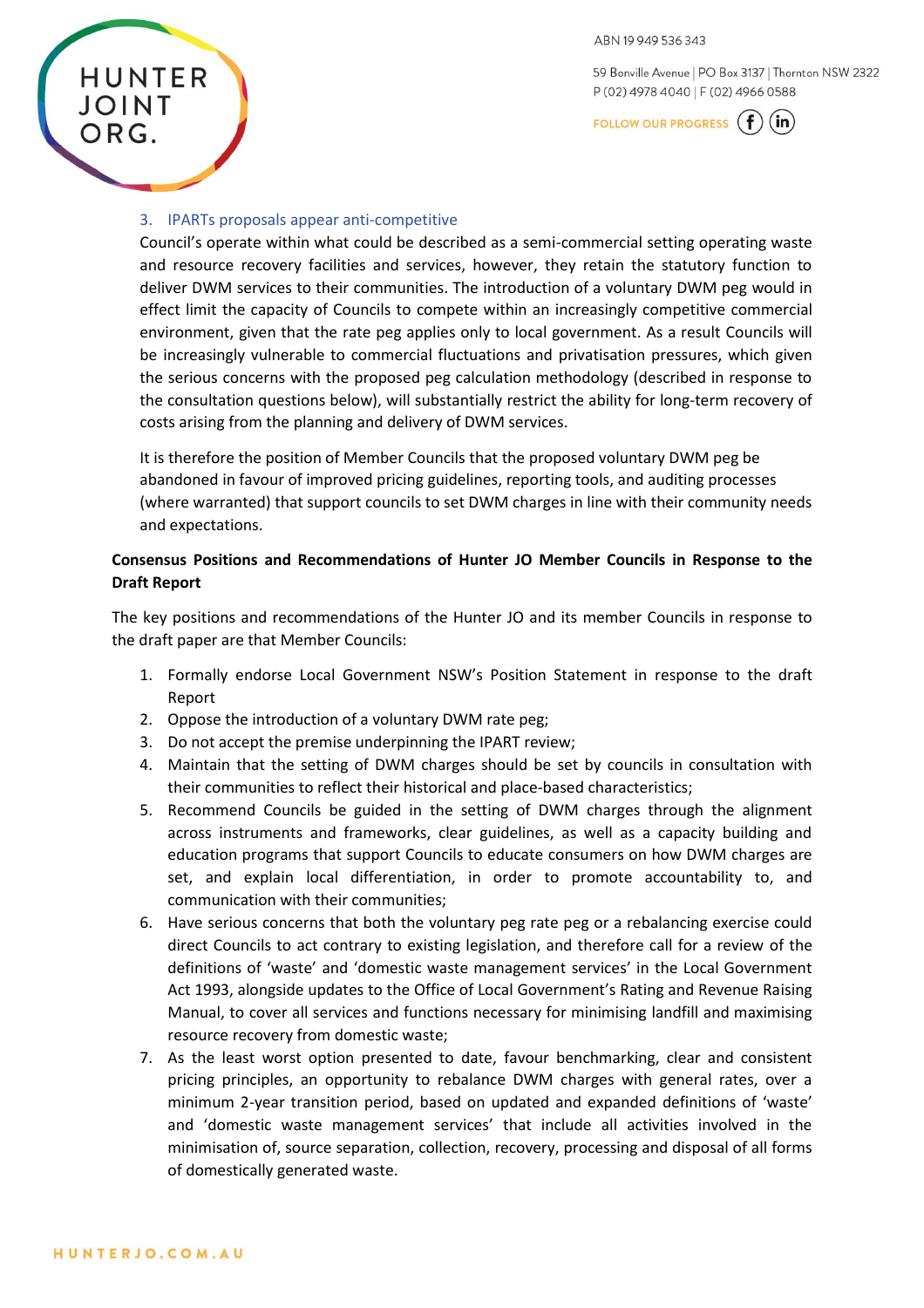59 Bonville Avenue | PO Box 3137 | Thornton NSW 2322 P (02) 4978 4040 | F (02) 4966 0588

FOLLOW OUR PROGRESS  $(f)(in)$ 

#### 3. IPARTs proposals appear anti-competitive

**HUNTER** 

**JOINT** 

ORG.

Council's operate within what could be described as a semi-commercial setting operating waste and resource recovery facilities and services, however, they retain the statutory function to deliver DWM services to their communities. The introduction of a voluntary DWM peg would in effect limit the capacity of Councils to compete within an increasingly competitive commercial environment, given that the rate peg applies only to local government. As a result Councils will be increasingly vulnerable to commercial fluctuations and privatisation pressures, which given the serious concerns with the proposed peg calculation methodology (described in response to the consultation questions below), will substantially restrict the ability for long-term recovery of costs arising from the planning and delivery of DWM services.

It is therefore the position of Member Councils that the proposed voluntary DWM peg be abandoned in favour of improved pricing guidelines, reporting tools, and auditing processes (where warranted) that support councils to set DWM charges in line with their community needs and expectations.

### **Consensus Positions and Recommendations of Hunter JO Member Councils in Response to the Draft Report**

The key positions and recommendations of the Hunter JO and its member Councils in response to the draft paper are that Member Councils:

- 1. Formally endorse Local Government NSW's Position Statement in response to the draft Report
- 2. Oppose the introduction of a voluntary DWM rate peg;
- 3. Do not accept the premise underpinning the IPART review;
- 4. Maintain that the setting of DWM charges should be set by councils in consultation with their communities to reflect their historical and place-based characteristics;
- 5. Recommend Councils be guided in the setting of DWM charges through the alignment across instruments and frameworks, clear guidelines, as well as a capacity building and education programs that support Councils to educate consumers on how DWM charges are set, and explain local differentiation, in order to promote accountability to, and communication with their communities;
- 6. Have serious concerns that both the voluntary peg rate peg or a rebalancing exercise could direct Councils to act contrary to existing legislation, and therefore call for a review of the definitions of 'waste' and 'domestic waste management services' in the Local Government Act 1993, alongside updates to the Office of Local Government's Rating and Revenue Raising Manual, to cover all services and functions necessary for minimising landfill and maximising resource recovery from domestic waste;
- 7. As the least worst option presented to date, favour benchmarking, clear and consistent pricing principles, an opportunity to rebalance DWM charges with general rates, over a minimum 2-year transition period, based on updated and expanded definitions of 'waste' and 'domestic waste management services' that include all activities involved in the minimisation of, source separation, collection, recovery, processing and disposal of all forms of domestically generated waste.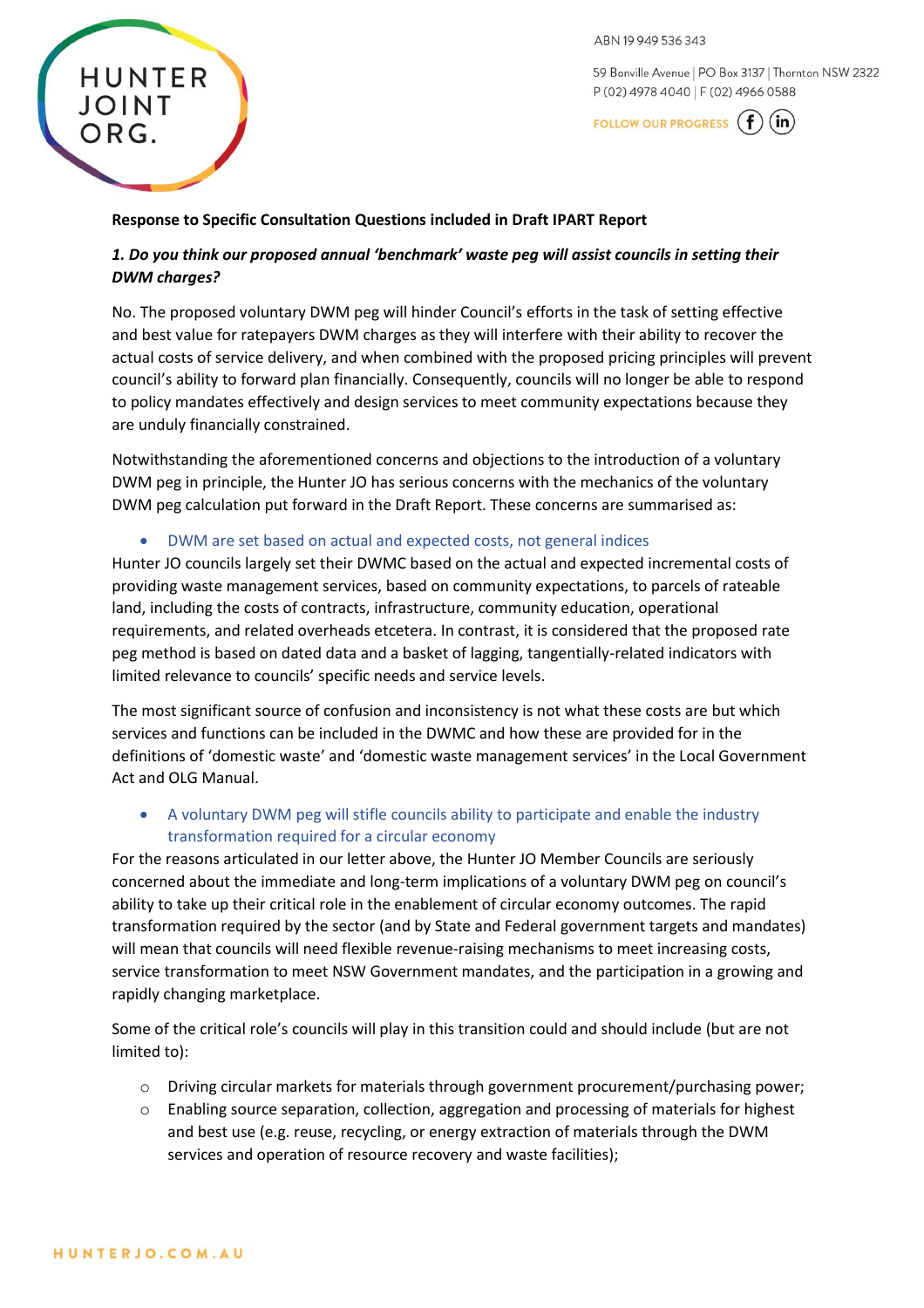ABN 19949536343

59 Bonville Avenue | PO Box 3137 | Thornton NSW 2322 P (02) 4978 4040 | F (02) 4966 0588



#### **Response to Specific Consultation Questions included in Draft IPART Report**

# *1. Do you think our proposed annual 'benchmark' waste peg will assist councils in setting their DWM charges?*

No. The proposed voluntary DWM peg will hinder Council's efforts in the task of setting effective and best value for ratepayers DWM charges as they will interfere with their ability to recover the actual costs of service delivery, and when combined with the proposed pricing principles will prevent council's ability to forward plan financially. Consequently, councils will no longer be able to respond to policy mandates effectively and design services to meet community expectations because they are unduly financially constrained.

Notwithstanding the aforementioned concerns and objections to the introduction of a voluntary DWM peg in principle, the Hunter JO has serious concerns with the mechanics of the voluntary DWM peg calculation put forward in the Draft Report. These concerns are summarised as:

• DWM are set based on actual and expected costs, not general indices

Hunter JO councils largely set their DWMC based on the actual and expected incremental costs of providing waste management services, based on community expectations, to parcels of rateable land, including the costs of contracts, infrastructure, community education, operational requirements, and related overheads etcetera. In contrast, it is considered that the proposed rate peg method is based on dated data and a basket of lagging, tangentially-related indicators with limited relevance to councils' specific needs and service levels.

The most significant source of confusion and inconsistency is not what these costs are but which services and functions can be included in the DWMC and how these are provided for in the definitions of 'domestic waste' and 'domestic waste management services' in the Local Government Act and OLG Manual.

• A voluntary DWM peg will stifle councils ability to participate and enable the industry transformation required for a circular economy

For the reasons articulated in our letter above, the Hunter JO Member Councils are seriously concerned about the immediate and long-term implications of a voluntary DWM peg on council's ability to take up their critical role in the enablement of circular economy outcomes. The rapid transformation required by the sector (and by State and Federal government targets and mandates) will mean that councils will need flexible revenue-raising mechanisms to meet increasing costs, service transformation to meet NSW Government mandates, and the participation in a growing and rapidly changing marketplace.

Some of the critical role's councils will play in this transition could and should include (but are not limited to):

- o Driving circular markets for materials through government procurement/purchasing power;
- o Enabling source separation, collection, aggregation and processing of materials for highest and best use (e.g. reuse, recycling, or energy extraction of materials through the DWM services and operation of resource recovery and waste facilities);

**HUNTER** 

**JOINT**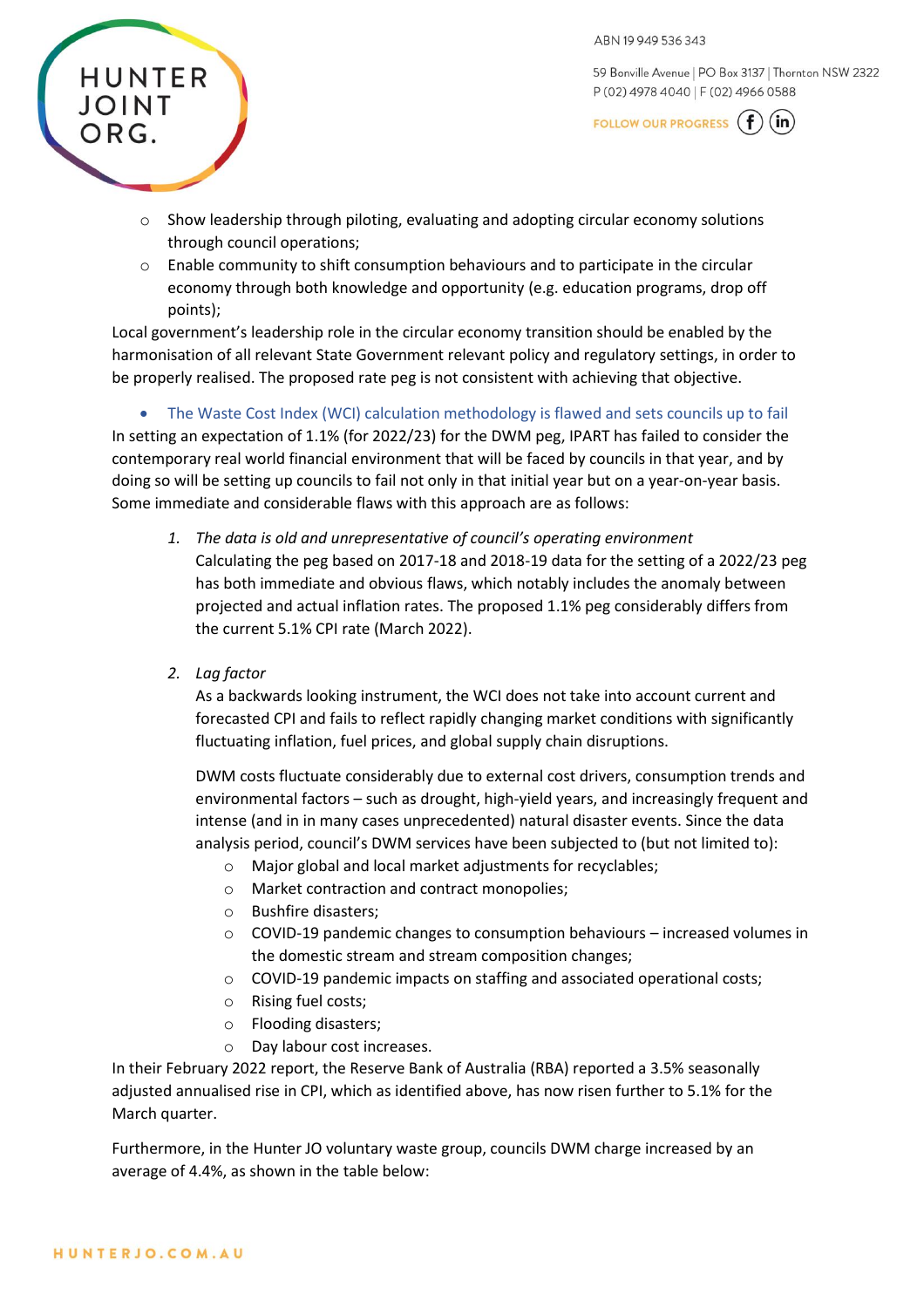59 Bonville Avenue | PO Box 3137 | Thornton NSW 2322 P (02) 4978 4040 | F (02) 4966 0588

FOLLOW OUR PROGRESS  $(f)(in)$ 

- $\circ$  Show leadership through piloting, evaluating and adopting circular economy solutions through council operations;
- $\circ$  Enable community to shift consumption behaviours and to participate in the circular economy through both knowledge and opportunity (e.g. education programs, drop off points);

Local government's leadership role in the circular economy transition should be enabled by the harmonisation of all relevant State Government relevant policy and regulatory settings, in order to be properly realised. The proposed rate peg is not consistent with achieving that objective.

• The Waste Cost Index (WCI) calculation methodology is flawed and sets councils up to fail In setting an expectation of 1.1% (for 2022/23) for the DWM peg, IPART has failed to consider the contemporary real world financial environment that will be faced by councils in that year, and by doing so will be setting up councils to fail not only in that initial year but on a year-on-year basis. Some immediate and considerable flaws with this approach are as follows:

- *1. The data is old and unrepresentative of council's operating environment* Calculating the peg based on 2017-18 and 2018-19 data for the setting of a 2022/23 peg has both immediate and obvious flaws, which notably includes the anomaly between projected and actual inflation rates. The proposed 1.1% peg considerably differs from the current 5.1% CPI rate (March 2022).
- *2. Lag factor*

**HUNTER** 

JOINT

ORG.

As a backwards looking instrument, the WCI does not take into account current and forecasted CPI and fails to reflect rapidly changing market conditions with significantly fluctuating inflation, fuel prices, and global supply chain disruptions.

DWM costs fluctuate considerably due to external cost drivers, consumption trends and environmental factors – such as drought, high-yield years, and increasingly frequent and intense (and in in many cases unprecedented) natural disaster events. Since the data analysis period, council's DWM services have been subjected to (but not limited to):

- o Major global and local market adjustments for recyclables;
- o Market contraction and contract monopolies;
- o Bushfire disasters;
- $\circ$  COVID-19 pandemic changes to consumption behaviours increased volumes in the domestic stream and stream composition changes;
- o COVID-19 pandemic impacts on staffing and associated operational costs;
- o Rising fuel costs;
- o Flooding disasters;
- o Day labour cost increases.

In their February 2022 report, the Reserve Bank of Australia (RBA) reported a 3.5% seasonally adjusted annualised rise in CPI, which as identified above, has now risen further to 5.1% for the March quarter.

Furthermore, in the Hunter JO voluntary waste group, councils DWM charge increased by an average of 4.4%, as shown in the table below: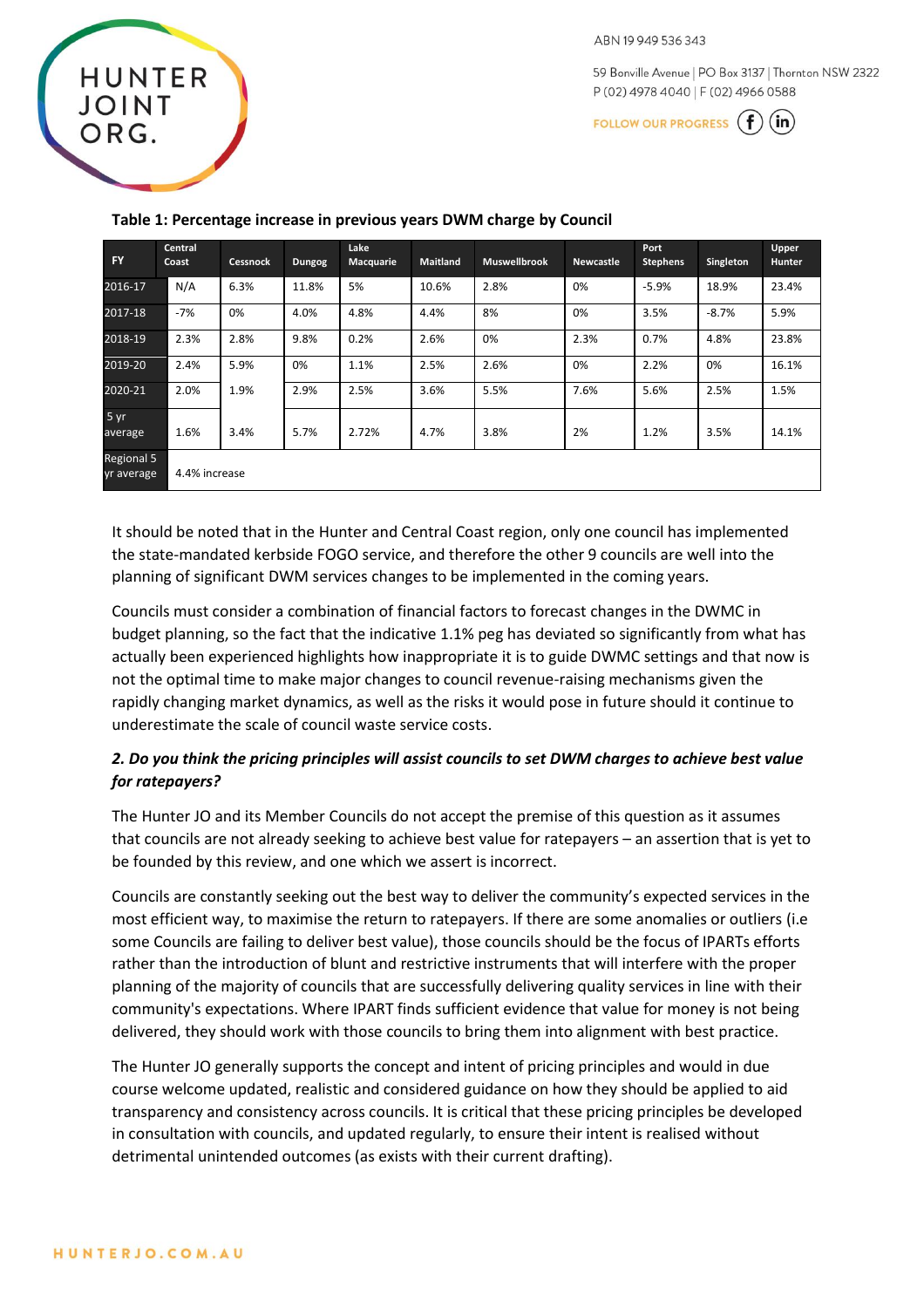59 Bonville Avenue | PO Box 3137 | Thornton NSW 2322 P (02) 4978 4040 | F (02) 4966 0588

FOLLOW OUR PROGRESS  $(f)(in)$ 

| <b>FY</b>                 | Central<br>Coast | <b>Cessnock</b> | <b>Dungog</b> | Lake<br>Macquarie | <b>Maitland</b> | <b>Muswellbrook</b> | <b>Newcastle</b> | Port<br><b>Stephens</b> | Singleton | Upper<br><b>Hunter</b> |  |
|---------------------------|------------------|-----------------|---------------|-------------------|-----------------|---------------------|------------------|-------------------------|-----------|------------------------|--|
| 2016-17                   | N/A              | 6.3%            | 11.8%         | 5%                | 10.6%           | 2.8%                | 0%               | $-5.9%$                 | 18.9%     | 23.4%                  |  |
| 2017-18                   | $-7%$            | 0%              | 4.0%          | 4.8%              | 4.4%            | 8%                  | 0%               | 3.5%                    | $-8.7%$   | 5.9%                   |  |
| 2018-19                   | 2.3%             | 2.8%            | 9.8%          | 0.2%              | 2.6%            | 0%                  | 2.3%             | 0.7%                    | 4.8%      | 23.8%                  |  |
| 2019-20                   | 2.4%             | 5.9%            | 0%            | 1.1%              | 2.5%            | 2.6%                | 0%               | 2.2%                    | 0%        | 16.1%                  |  |
| 2020-21                   | 2.0%             | 1.9%            | 2.9%          | 2.5%              | 3.6%            | 5.5%                | 7.6%             | 5.6%                    | 2.5%      | 1.5%                   |  |
| $5 \text{ yr}$<br>average | 1.6%             | 3.4%            | 5.7%          | 2.72%             | 4.7%            | 3.8%                | 2%               | 1.2%                    | 3.5%      | 14.1%                  |  |
| Regional 5<br>yr average  |                  | 4.4% increase   |               |                   |                 |                     |                  |                         |           |                        |  |

#### **Table 1: Percentage increase in previous years DWM charge by Council**

It should be noted that in the Hunter and Central Coast region, only one council has implemented the state-mandated kerbside FOGO service, and therefore the other 9 councils are well into the planning of significant DWM services changes to be implemented in the coming years.

Councils must consider a combination of financial factors to forecast changes in the DWMC in budget planning, so the fact that the indicative 1.1% peg has deviated so significantly from what has actually been experienced highlights how inappropriate it is to guide DWMC settings and that now is not the optimal time to make major changes to council revenue-raising mechanisms given the rapidly changing market dynamics, as well as the risks it would pose in future should it continue to underestimate the scale of council waste service costs.

# *2. Do you think the pricing principles will assist councils to set DWM charges to achieve best value for ratepayers?*

The Hunter JO and its Member Councils do not accept the premise of this question as it assumes that councils are not already seeking to achieve best value for ratepayers – an assertion that is yet to be founded by this review, and one which we assert is incorrect.

Councils are constantly seeking out the best way to deliver the community's expected services in the most efficient way, to maximise the return to ratepayers. If there are some anomalies or outliers (i.e some Councils are failing to deliver best value), those councils should be the focus of IPARTs efforts rather than the introduction of blunt and restrictive instruments that will interfere with the proper planning of the majority of councils that are successfully delivering quality services in line with their community's expectations. Where IPART finds sufficient evidence that value for money is not being delivered, they should work with those councils to bring them into alignment with best practice.

The Hunter JO generally supports the concept and intent of pricing principles and would in due course welcome updated, realistic and considered guidance on how they should be applied to aid transparency and consistency across councils. It is critical that these pricing principles be developed in consultation with councils, and updated regularly, to ensure their intent is realised without detrimental unintended outcomes (as exists with their current drafting).

**HUNTER** 

**JOINT**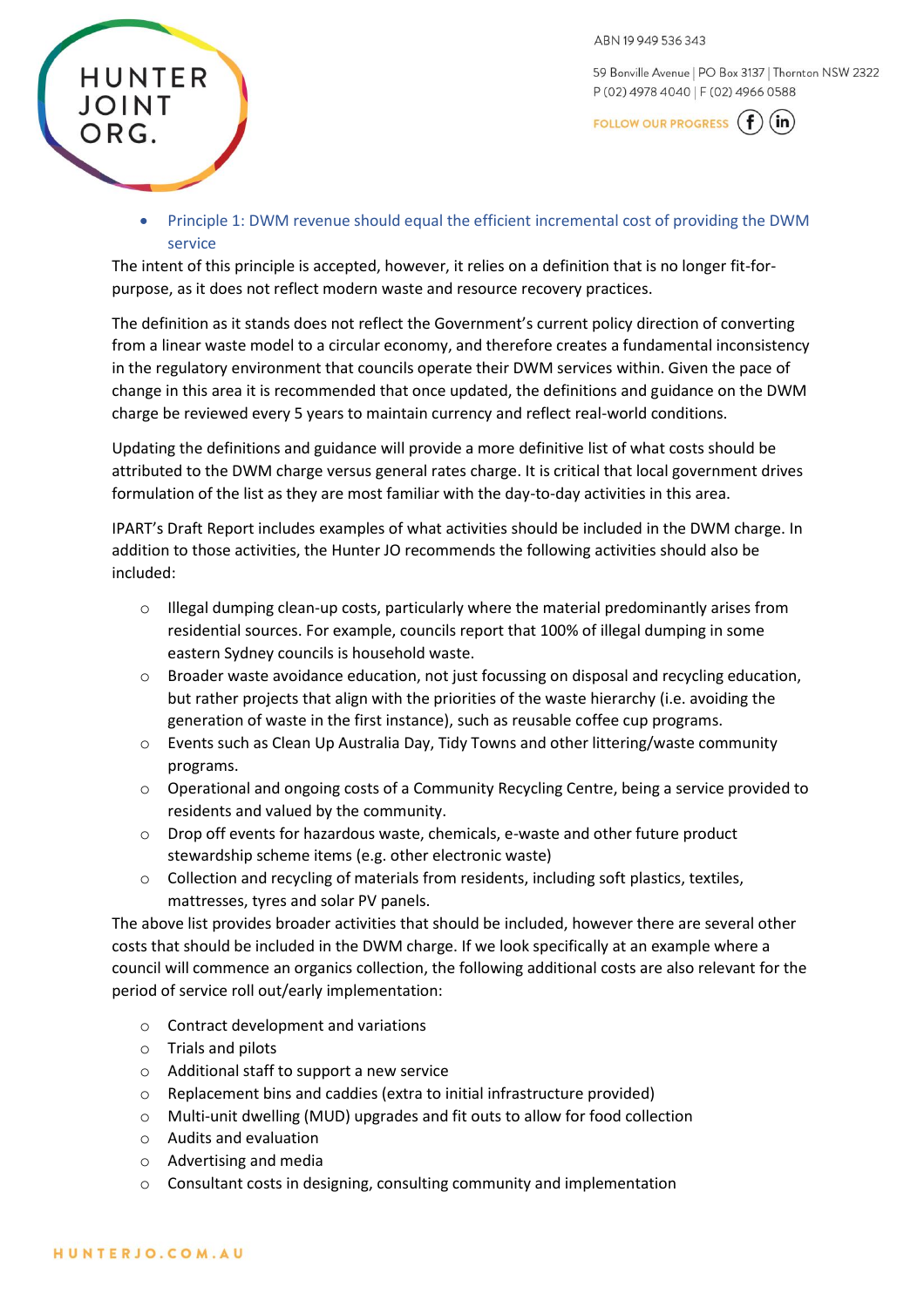59 Bonville Avenue | PO Box 3137 | Thornton NSW 2322 P (02) 4978 4040 | F (02) 4966 0588

FOLLOW OUR PROGRESS  $(f)(in)$ 

• Principle 1: DWM revenue should equal the efficient incremental cost of providing the DWM service

The intent of this principle is accepted, however, it relies on a definition that is no longer fit-forpurpose, as it does not reflect modern waste and resource recovery practices.

The definition as it stands does not reflect the Government's current policy direction of converting from a linear waste model to a circular economy, and therefore creates a fundamental inconsistency in the regulatory environment that councils operate their DWM services within. Given the pace of change in this area it is recommended that once updated, the definitions and guidance on the DWM charge be reviewed every 5 years to maintain currency and reflect real-world conditions.

Updating the definitions and guidance will provide a more definitive list of what costs should be attributed to the DWM charge versus general rates charge. It is critical that local government drives formulation of the list as they are most familiar with the day-to-day activities in this area.

IPART's Draft Report includes examples of what activities should be included in the DWM charge. In addition to those activities, the Hunter JO recommends the following activities should also be included:

- o Illegal dumping clean-up costs, particularly where the material predominantly arises from residential sources. For example, councils report that 100% of illegal dumping in some eastern Sydney councils is household waste.
- o Broader waste avoidance education, not just focussing on disposal and recycling education, but rather projects that align with the priorities of the waste hierarchy (i.e. avoiding the generation of waste in the first instance), such as reusable coffee cup programs.
- o Events such as Clean Up Australia Day, Tidy Towns and other littering/waste community programs.
- o Operational and ongoing costs of a Community Recycling Centre, being a service provided to residents and valued by the community.
- o Drop off events for hazardous waste, chemicals, e-waste and other future product stewardship scheme items (e.g. other electronic waste)
- o Collection and recycling of materials from residents, including soft plastics, textiles, mattresses, tyres and solar PV panels.

The above list provides broader activities that should be included, however there are several other costs that should be included in the DWM charge. If we look specifically at an example where a council will commence an organics collection, the following additional costs are also relevant for the period of service roll out/early implementation:

- o Contract development and variations
- o Trials and pilots
- o Additional staff to support a new service
- o Replacement bins and caddies (extra to initial infrastructure provided)
- o Multi-unit dwelling (MUD) upgrades and fit outs to allow for food collection
- o Audits and evaluation
- o Advertising and media
- o Consultant costs in designing, consulting community and implementation

**HUNTER** 

**JOINT**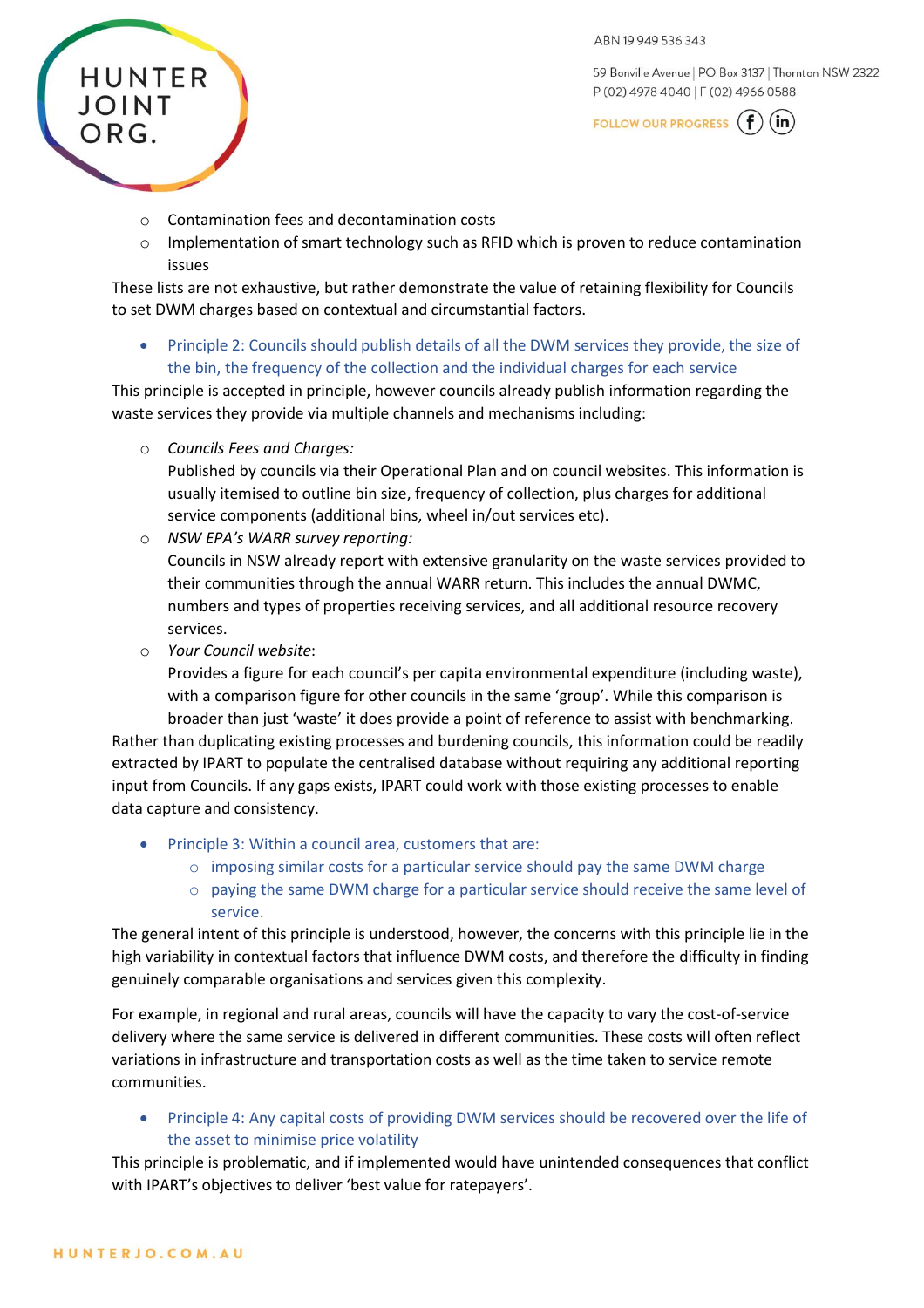59 Bonville Avenue | PO Box 3137 | Thornton NSW 2322 P (02) 4978 4040 | F (02) 4966 0588



- o Contamination fees and decontamination costs
- $\circ$  Implementation of smart technology such as RFID which is proven to reduce contamination issues

These lists are not exhaustive, but rather demonstrate the value of retaining flexibility for Councils to set DWM charges based on contextual and circumstantial factors.

• Principle 2: Councils should publish details of all the DWM services they provide, the size of the bin, the frequency of the collection and the individual charges for each service

This principle is accepted in principle, however councils already publish information regarding the waste services they provide via multiple channels and mechanisms including:

o *Councils Fees and Charges:*

**HUNTER** 

**JOINT** 

ORG.

Published by councils via their Operational Plan and on council websites. This information is usually itemised to outline bin size, frequency of collection, plus charges for additional service components (additional bins, wheel in/out services etc).

o *NSW EPA's WARR survey reporting:*

Councils in NSW already report with extensive granularity on the waste services provided to their communities through the annual WARR return. This includes the annual DWMC, numbers and types of properties receiving services, and all additional resource recovery services.

o *Your Council website*:

Provides a figure for each council's per capita environmental expenditure (including waste), with a comparison figure for other councils in the same 'group'. While this comparison is

broader than just 'waste' it does provide a point of reference to assist with benchmarking. Rather than duplicating existing processes and burdening councils, this information could be readily extracted by IPART to populate the centralised database without requiring any additional reporting input from Councils. If any gaps exists, IPART could work with those existing processes to enable data capture and consistency.

- Principle 3: Within a council area, customers that are:
	- $\circ$  imposing similar costs for a particular service should pay the same DWM charge
	- $\circ$  paying the same DWM charge for a particular service should receive the same level of service.

The general intent of this principle is understood, however, the concerns with this principle lie in the high variability in contextual factors that influence DWM costs, and therefore the difficulty in finding genuinely comparable organisations and services given this complexity.

For example, in regional and rural areas, councils will have the capacity to vary the cost-of-service delivery where the same service is delivered in different communities. These costs will often reflect variations in infrastructure and transportation costs as well as the time taken to service remote communities.

• Principle 4: Any capital costs of providing DWM services should be recovered over the life of the asset to minimise price volatility

This principle is problematic, and if implemented would have unintended consequences that conflict with IPART's objectives to deliver 'best value for ratepayers'.